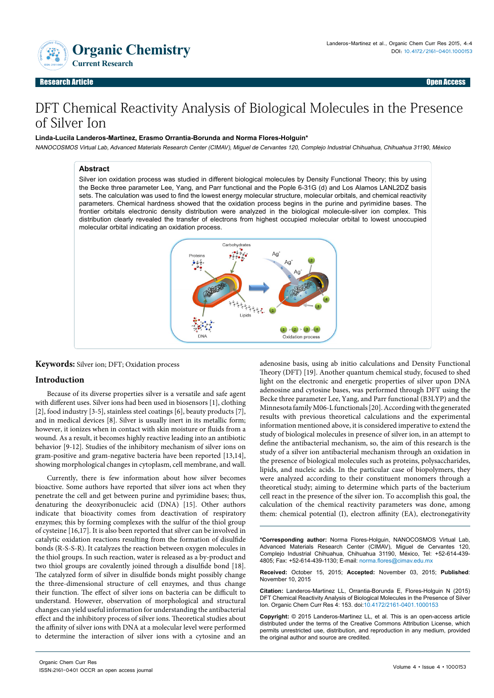

# DFT Chemical Reactivity Analysis of Biological Molecules in the Presence of Silver Ion

### **Linda-Lucila Landeros-Martinez, Erasmo Orrantia-Borunda and Norma Flores-Holguin\***

NANOCOSMOS Virtual Lab, Advanced Materials Research Center (CIMAV), Miguel de Cervantes 120, Complejo Industrial Chihuahua, Chihuahua 31190, México

#### **Abstract**

Silver ion oxidation process was studied in different biological molecules by Density Functional Theory; this by using the Becke three parameter Lee, Yang, and Parr functional and the Pople 6-31G (d) and Los Alamos LANL2DZ basis sets. The calculation was used to find the lowest energy molecular structure, molecular orbitals, and chemical reactivity parameters. Chemical hardness showed that the oxidation process begins in the purine and pyrimidine bases. The frontier orbitals electronic density distribution were analyzed in the biological molecule-silver ion complex. This distribution clearly revealed the transfer of electrons from highest occupied molecular orbital to lowest unoccupied molecular orbital indicating an oxidation process.



### **Keywords:** Silver ion; DFT; Oxidation process

## **Introduction**

Because of its diverse properties silver is a versatile and safe agent with different uses. Silver ions had been used in biosensors [1], clothing [2], food industry [3-5], stainless steel coatings [6], beauty products [7], and in medical devices [8]. Silver is usually inert in its metallic form; however, it ionizes when in contact with skin moisture or fluids from a wound. As a result, it becomes highly reactive leading into an antibiotic behavior [9-12]. Studies of the inhibitory mechanism of silver ions on gram-positive and gram-negative bacteria have been reported [13,14], showing morphological changes in cytoplasm, cell membrane, and wall.

Currently, there is few information about how silver becomes bioactive. Some authors have reported that silver ions act when they penetrate the cell and get between purine and pyrimidine bases; thus, denaturing the deoxyribonucleic acid (DNA) [15]. Other authors indicate that bioactivity comes from deactivation of respiratory enzymes; this by forming complexes with the sulfur of the thiol group of cysteine [16,17]. It is also been reported that silver can be involved in catalytic oxidation reactions resulting from the formation of disulfide bonds (R-S-S-R). It catalyzes the reaction between oxygen molecules in the thiol groups. In such reaction, water is released as a by-product and two thiol groups are covalently joined through a disulfide bond [18]. The catalyzed form of silver in disulfide bonds might possibly change the three-dimensional structure of cell enzymes, and thus change their function. The effect of silver ions on bacteria can be difficult to understand. However, observation of morphological and structural changes can yield useful information for understanding the antibacterial effect and the inhibitory process of silver ions. Theoretical studies about the affinity of silver ions with DNA at a molecular level were performed to determine the interaction of silver ions with a cytosine and an

Organic Chem Curr Res ISSN:2161-0401 OCCR an open access journal

adenosine basis, using ab initio calculations and Density Functional Theory (DFT) [19]. Another quantum chemical study, focused to shed light on the electronic and energetic properties of silver upon DNA adenosine and cytosine bases, was performed through DFT using the Becke three parameter Lee, Yang, and Parr functional (B3LYP) and the Minnesota family M06-L functionals [20]. According with the generated results with previous theoretical calculations and the experimental information mentioned above, it is considered imperative to extend the study of biological molecules in presence of silver ion, in an attempt to define the antibacterial mechanism, so, the aim of this research is the study of a silver ion antibacterial mechanism through an oxidation in the presence of biological molecules such as proteins, polysaccharides, lipids, and nucleic acids. In the particular case of biopolymers, they were analyzed according to their constituent monomers through a theoretical study; aiming to determine which parts of the bacterium cell react in the presence of the silver ion. To accomplish this goal, the calculation of the chemical reactivity parameters was done, among them: chemical potential (I), electron affinity (EA), electronegativity

**\*Corresponding author:** Norma Flores-Holguin, NANOCOSMOS Virtual Lab, Advanced Materials Research Center (CIMAV), Miguel de Cervantes 120, Complejo Industrial Chihuahua, Chihuahua 31190, México, Tel: +52-614-439- 4805; Fax: +52-614-439-1130; E-mail: norma.flores@cimav.edu.mx

**Received:** October 15, 2015; **Accepted:** November 03, 2015; **Published**: November 10, 2015

**Citation:** Landeros-Martinez LL, Orrantia-Borunda E, Flores-Holguin N (2015) DFT Chemical Reactivity Analysis of Biological Molecules in the Presence of Silver Ion. Organic Chem Curr Res 4: 153. doi:10.4172/2161-0401.1000153

**Copyright:** © 2015 Landeros-Martinez LL, et al. This is an open-access article distributed under the terms of the Creative Commons Attribution License, which permits unrestricted use, distribution, and reproduction in any medium, provided the original author and source are credited.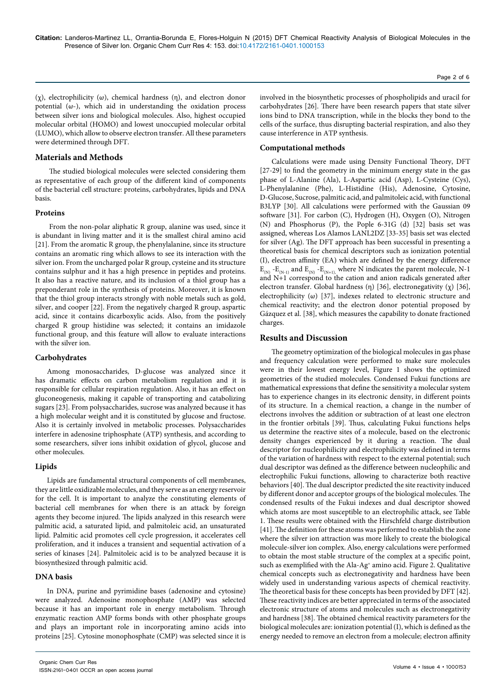(χ), electrophilicity (ω), chemical hardness (η), and electron donor potential ( $\omega$ -), which aid in understanding the oxidation process between silver ions and biological molecules. Also, highest occupied molecular orbital (HOMO) and lowest unoccupied molecular orbital (LUMO), which allow to observe electron transfer. All these parameters were determined through DFT.

## **Materials and Methods**

 The studied biological molecules were selected considering them as representative of each group of the different kind of components of the bacterial cell structure: proteins, carbohydrates, lipids and DNA basis.

### **Proteins**

 From the non-polar aliphatic R group, alanine was used, since it is abundant in living matter and it is the smallest chiral amino acid [21]. From the aromatic R group, the phenylalanine, since its structure contains an aromatic ring which allows to see its interaction with the silver ion. From the uncharged polar R group, cysteine and its structure contains sulphur and it has a high presence in peptides and proteins. It also has a reactive nature, and its inclusion of a thiol group has a preponderant role in the synthesis of proteins. Moreover, it is known that the thiol group interacts strongly with noble metals such as gold, silver, and cooper [22]. From the negatively charged R group, aspartic acid, since it contains dicarboxylic acids. Also, from the positively charged R group histidine was selected; it contains an imidazole functional group, and this feature will allow to evaluate interactions with the silver ion.

# **Carbohydrates**

Among monosaccharides, D-glucose was analyzed since it has dramatic effects on carbon metabolism regulation and it is responsible for cellular respiration regulation. Also, it has an effect on gluconeogenesis, making it capable of transporting and catabolizing sugars [23]. From polysaccharides, sucrose was analyzed because it has a high molecular weight and it is constituted by glucose and fructose. Also it is certainly involved in metabolic processes. Polysaccharides interfere in adenosine triphosphate (ATP) synthesis, and according to some researchers, silver ions inhibit oxidation of glycol, glucose and other molecules.

# **Lipids**

Lipids are fundamental structural components of cell membranes, they are little oxidizable molecules, and they serve as an energy reservoir for the cell. It is important to analyze the constituting elements of bacterial cell membranes for when there is an attack by foreign agents they become injured. The lipids analyzed in this research were palmitic acid, a saturated lipid, and palmitoleic acid, an unsaturated lipid. Palmitic acid promotes cell cycle progression, it accelerates cell proliferation, and it induces a transient and sequential activation of a series of kinases [24]. Palmitoleic acid is to be analyzed because it is biosynthesized through palmitic acid.

# **DNA basis**

In DNA, purine and pyrimidine bases (adenosine and cytosine) were analyzed. Adenosine monophosphate (AMP) was selected because it has an important role in energy metabolism. Through enzymatic reaction AMP forms bonds with other phosphate groups and plays an important role in incorporating amino acids into proteins [25]. Cytosine monophosphate (CMP) was selected since it is

involved in the biosynthetic processes of phospholipids and uracil for carbohydrates [26]. There have been research papers that state silver ions bind to DNA transcription, while in the blocks they bond to the cells of the surface, thus disrupting bacterial respiration, and also they cause interference in ATP synthesis.

# **Computational methods**

Calculations were made using Density Functional Theory, DFT [27-29] to find the geometry in the minimum energy state in the gas phase of L-Alanine (Ala), L-Aspartic acid (Asp), L-Cysteine (Cys), L-Phenylalanine (Phe), L-Histidine (His), Adenosine, Cytosine, D-Glucose, Sucrose, palmitic acid, and palmitoleic acid, with functional B3LYP [30]. All calculations were performed with the Gaussian 09 software [31]. For carbon (C), Hydrogen (H), Oxygen (O), Nitrogen (N) and Phosphorus (P), the Pople 6-31G (d) [32] basis set was assigned, whereas Los Alamos LANL2DZ [33-35] basis set was elected for silver (Ag). The DFT approach has been successful in presenting a theoretical basis for chemical descriptors such as ionization potential (I), electron affinity (EA) which are defined by the energy difference  $E_{(N)}$  - $E_{(N-1)}$  and  $E_{(N)}$  - $E_{(N+1)}$ , where N indicates the parent molecule, N-1 and N+1 correspond to the cation and anion radicals generated after electron transfer. Global hardness (η) [36], electronegativity (χ) [36], electrophilicity (ω) [37], indexes related to electronic structure and chemical reactivity; and the electron donor potential proposed by Gázquez et al. [38], which measures the capability to donate fractioned charges.

# **Results and Discussion**

The geometry optimization of the biological molecules in gas phase and frequency calculation were performed to make sure molecules were in their lowest energy level, Figure 1 shows the optimized geometries of the studied molecules. Condensed Fukui functions are mathematical expressions that define the sensitivity a molecular system has to experience changes in its electronic density, in different points of its structure. In a chemical reaction, a change in the number of electrons involves the addition or subtraction of at least one electron in the frontier orbitals [39]. Thus, calculating Fukui functions helps us determine the reactive sites of a molecule, based on the electronic density changes experienced by it during a reaction. The dual descriptor for nucleophilicity and electrophilicity was defined in terms of the variation of hardness with respect to the external potential; such dual descriptor was defined as the difference between nucleophilic and electrophilic Fukui functions, allowing to characterize both reactive behaviors [40]. The dual descriptor predicted the site reactivity induced by different donor and acceptor groups of the biological molecules. The condensed results of the Fukui indexes and dual descriptor showed which atoms are most susceptible to an electrophilic attack, see Table 1. These results were obtained with the Hirschfeld charge distribution [41]. The definition for these atoms was performed to establish the zone where the silver ion attraction was more likely to create the biological molecule-silver ion complex. Also, energy calculations were performed to obtain the most stable structure of the complex at a specific point, such as exemplified with the Ala-Ag<sup>+</sup> amino acid. Figure 2. Qualitative chemical concepts such as electronegativity and hardness have been widely used in understanding various aspects of chemical reactivity. The theoretical basis for these concepts has been provided by DFT [42]. These reactivity indices are better appreciated in terms of the associated electronic structure of atoms and molecules such as electronegativity and hardness [38]. The obtained chemical reactivity parameters for the biological molecules are: ionization potential (I), which is defined as the energy needed to remove an electron from a molecule; electron affinity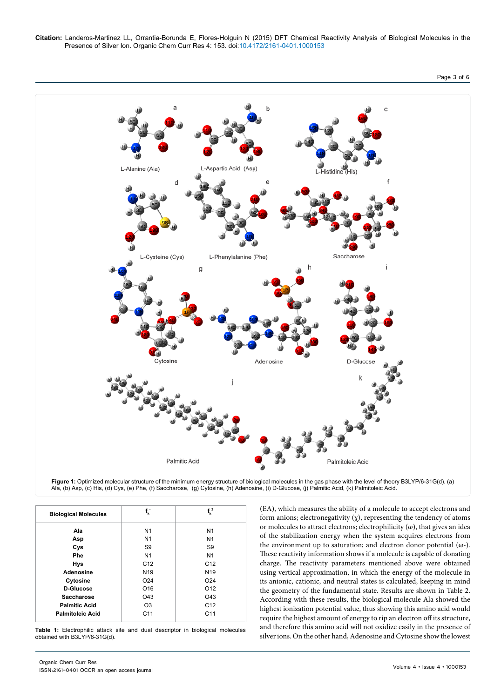**Citation:** Landeros-Martinez LL, Orrantia-Borunda E, Flores-Holguin N (2015) DFT Chemical Reactivity Analysis of Biological Molecules in the Presence of Silver Ion. Organic Chem Curr Res 4: 153. doi:10.4172/2161-0401.1000153





**Figure 1:** Optimized molecular structure of the minimum energy structure of biological molecules in the gas phase with the level of theory B3LYP/6-31G(d). (a) Ala, (b) Asp, (c) His, (d) Cys, (e) Phe, (f) Saccharose, (g) Cytosine, (h) Adenosine, (i) D-Glucose, (j) Palmitic Acid, (k) Palmitoleic Acid.

| <b>Biological Molecules</b> | $f_{k}$         | $f_k^2$         |
|-----------------------------|-----------------|-----------------|
| Ala                         | N <sub>1</sub>  | N <sub>1</sub>  |
| Asp                         | N <sub>1</sub>  | N <sub>1</sub>  |
| Cys                         | S9              | S9              |
| <b>Phe</b>                  | N <sub>1</sub>  | N <sub>1</sub>  |
| Hys                         | C <sub>12</sub> | C <sub>12</sub> |
| Adenosine                   | N <sub>19</sub> | N <sub>19</sub> |
| Cytosine                    | O <sub>24</sub> | O <sub>24</sub> |
| <b>D-Glucose</b>            | O <sub>16</sub> | O <sub>12</sub> |
| Saccharose                  | O43             | O43             |
| <b>Palmitic Acid</b>        | O <sub>3</sub>  | C <sub>12</sub> |
| <b>Palmitoleic Acid</b>     | C <sub>11</sub> | C <sub>11</sub> |

**Table 1:** Electrophilic attack site and dual descriptor in biological molecules obtained with B3LYP/6-31G(d).

(EA), which measures the ability of a molecule to accept electrons and form anions; electronegativity  $(\chi)$ , representing the tendency of atoms or molecules to attract electrons; electrophilicity  $(\omega)$ , that gives an idea of the stabilization energy when the system acquires electrons from the environment up to saturation; and electron donor potential  $(\omega)$ . These reactivity information shows if a molecule is capable of donating charge. The reactivity parameters mentioned above were obtained using vertical approximation, in which the energy of the molecule in its anionic, cationic, and neutral states is calculated, keeping in mind the geometry of the fundamental state. Results are shown in Table 2. According with these results, the biological molecule Ala showed the highest ionization potential value, thus showing this amino acid would require the highest amount of energy to rip an electron off its structure, and therefore this amino acid will not oxidize easily in the presence of silver ions. On the other hand, Adenosine and Cytosine show the lowest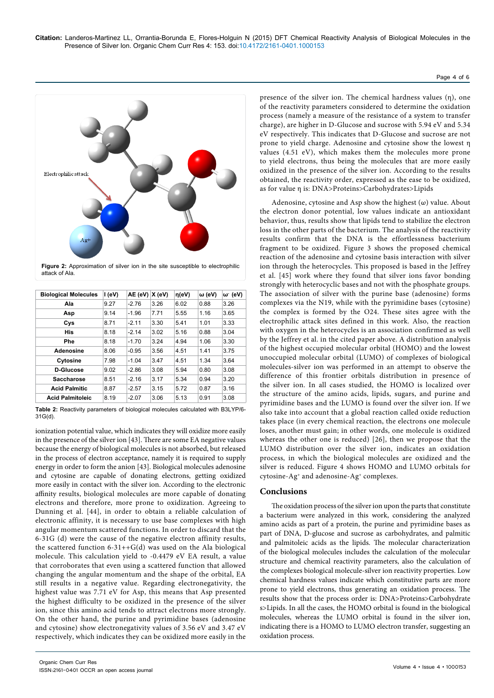

**Figure 2:** Approximation of silver ion in the site susceptible to electrophilic attack of Ala.

| <b>Biological Molecules</b> | l (eV) | AE (eV) | X (eV) | η(eV) | $\omega$ (eV) | ω (eV) |
|-----------------------------|--------|---------|--------|-------|---------------|--------|
| Ala                         | 9.27   | $-2.76$ | 3.26   | 6.02  | 0.88          | 3.26   |
| Asp                         | 9.14   | $-1.96$ | 7.71   | 5.55  | 1.16          | 3.65   |
| Cys                         | 8.71   | $-2.11$ | 3.30   | 5.41  | 1.01          | 3.33   |
| His                         | 8.18   | $-2.14$ | 3.02   | 5.16  | 0.88          | 3.04   |
| Phe                         | 8.18   | $-1.70$ | 3.24   | 4.94  | 1.06          | 3.30   |
| Adenosine                   | 8.06   | $-0.95$ | 3.56   | 4.51  | 1.41          | 3.75   |
| Cytosine                    | 7.98   | $-1.04$ | 3.47   | 4.51  | 1.34          | 3.64   |
| <b>D-Glucose</b>            | 9.02   | $-2.86$ | 3.08   | 5.94  | 0.80          | 3.08   |
| Saccharose                  | 8.51   | $-2.16$ | 3.17   | 5.34  | 0.94          | 3.20   |
| <b>Acid Palmitic</b>        | 8.87   | $-2.57$ | 3.15   | 5.72  | 0.87          | 3.16   |
| <b>Acid Palmitoleic</b>     | 8.19   | $-2.07$ | 3.06   | 5.13  | 0.91          | 3.08   |

**Table 2:** Reactivity parameters of biological molecules calculated with B3LYP/6- 31G(d).

ionization potential value, which indicates they will oxidize more easily in the presence of the silver ion [43]. There are some EA negative values because the energy of biological molecules is not absorbed, but released in the process of electron acceptance, namely it is required to supply energy in order to form the anion [43]. Biological molecules adenosine and cytosine are capable of donating electrons, getting oxidized more easily in contact with the silver ion. According to the electronic affinity results, biological molecules are more capable of donating electrons and therefore, more prone to oxidization. Agreeing to Dunning et al. [44], in order to obtain a reliable calculation of electronic affinity, it is necessary to use base complexes with high angular momentum scattered functions. In order to discard that the 6-31G (d) were the cause of the negative electron affinity results, the scattered function  $6-31++G(d)$  was used on the Ala biological molecule. This calculation yield to -0.4479 eV EA result, a value that corroborates that even using a scattered function that allowed changing the angular momentum and the shape of the orbital, EA still results in a negative value. Regarding electronegativity, the highest value was 7.71 eV for Asp, this means that Asp presented the highest difficulty to be oxidized in the presence of the silver ion, since this amino acid tends to attract electrons more strongly. On the other hand, the purine and pyrimidine bases (adenosine and cytosine) show electronegativity values of 3.56 eV and 3.47 eV respectively, which indicates they can be oxidized more easily in the presence of the silver ion. The chemical hardness values (η), one of the reactivity parameters considered to determine the oxidation process (namely a measure of the resistance of a system to transfer charge), are higher in D-Glucose and sucrose with 5.94 eV and 5.34 eV respectively. This indicates that D-Glucose and sucrose are not prone to yield charge. Adenosine and cytosine show the lowest η values (4.51 eV), which makes them the molecules more prone to yield electrons, thus being the molecules that are more easily oxidized in the presence of the silver ion. According to the results obtained, the reactivity order, expressed as the ease to be oxidized, as for value η is: DNA>Proteins>Carbohydrates>Lipids

Adenosine, cytosine and Asp show the highest  $(\omega)$  value. About the electron donor potential, low values indicate an antioxidant behavior, thus, results show that lipids tend to stabilize the electron loss in the other parts of the bacterium. The analysis of the reactivity results confirm that the DNA is the effortlessness bacterium fragment to be oxidized. Figure 3 shows the proposed chemical reaction of the adenosine and cytosine basis interaction with silver ion through the heterocycles. This proposed is based in the Jeffrey et al. [45] work where they found that silver ions favor bonding strongly with heterocyclic bases and not with the phosphate groups. The association of silver with the purine base (adenosine) forms complexes via the N19, while with the pyrimidine bases (cytosine) the complex is formed by the O24. These sites agree with the electrophilic attack sites defined in this work. Also, the reaction with oxygen in the heterocycles is an association confirmed as well by the Jeffrey et al. in the cited paper above. A distribution analysis of the highest occupied molecular orbital (HOMO) and the lowest unoccupied molecular orbital (LUMO) of complexes of biological molecules-silver ion was performed in an attempt to observe the difference of this frontier orbitals distribution in presence of the silver ion. In all cases studied, the HOMO is localized over the structure of the amino acids, lipids, sugars, and purine and pyrimidine bases and the LUMO is found over the silver ion. If we also take into account that a global reaction called oxide reduction takes place (in every chemical reaction, the electrons one molecule loses, another must gain; in other words, one molecule is oxidized whereas the other one is reduced) [26], then we propose that the LUMO distribution over the silver ion, indicates an oxidation process, in which the biological molecules are oxidized and the silver is reduced. Figure 4 shows HOMO and LUMO orbitals for cytosine-Ag+ and adenosine-Ag+ complexes.

# **Conclusions**

The oxidation process of the silver ion upon the parts that constitute a bacterium were analyzed in this work, considering the analyzed amino acids as part of a protein, the purine and pyrimidine bases as part of DNA, D-glucose and sucrose as carbohydrates, and palmitic and palmitoleic acids as the lipids. The molecular characterization of the biological molecules includes the calculation of the molecular structure and chemical reactivity parameters, also the calculation of the complexes biological molecule-silver ion reactivity properties. Low chemical hardness values indicate which constitutive parts are more prone to yield electrons, thus generating an oxidation process. The results show that the process order is: DNA>Proteins>Carbohydrate s>Lipids. In all the cases, the HOMO orbital is found in the biological molecules, whereas the LUMO orbital is found in the silver ion, indicating there is a HOMO to LUMO electron transfer, suggesting an oxidation process.

#### Page 4 of 6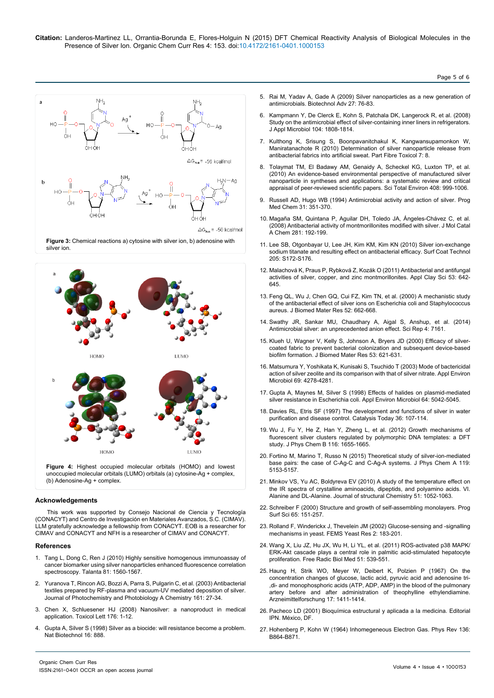

**Figure 3:** Chemical reactions a) cytosine with silver ion, b) adenosine with silver ion.



**Figure 4:** Highest occupied molecular orbitals (HOMO) and lowest unoccupied molecular orbitals (LUMO) orbitals (a) cytosine-Ag + complex, (b) Adenosine-Ag + complex.

#### **Acknowledgements**

This work was supported by Consejo Nacional de Ciencia y Tecnología (CONACYT) and Centro de Investigación en Materiales Avanzados, S.C. (CIMAV). LLM gratefully acknowledge a fellowship from CONACYT. EOB is a researcher for CIMAV and CONACYT and NFH is a researcher of CIMAV and CONACYT.

#### **References**

- 1. [Tang L, Dong C, Ren J \(2010\) Highly sensitive homogenous immunoassay of](http://www.ncbi.nlm.nih.gov/pubmed/20441939) [cancer biomarker using silver nanoparticles enhanced fluorescence correlation](http://www.ncbi.nlm.nih.gov/pubmed/20441939) [spectroscopy. Talanta 81: 1560-1567.](http://www.ncbi.nlm.nih.gov/pubmed/20441939)
- 2. [Yuranova T, Rincon AG, Bozzi A, Parra S, Pulgarin C, et al. \(2003\) Antibacterial](http://www.sciencedirect.com/science/article/pii/S1010603003002041) [textiles prepared by RF-plasma and vacuum-UV mediated deposition of silver.](http://www.sciencedirect.com/science/article/pii/S1010603003002041) [Journal of Photochemistry and Photobiology A Chemistry 161: 27-34.](http://www.sciencedirect.com/science/article/pii/S1010603003002041)
- 3. [Chen X, Schluesener HJ \(2008\) Nanosilver: a nanoproduct in medical](http://www.ncbi.nlm.nih.gov/pubmed/18022772) [application. Toxicol Lett 176: 1-12.](http://www.ncbi.nlm.nih.gov/pubmed/18022772)
- 4. [Gupta A, Silver S \(1998\) Silver as a biocide: will resistance become a problem.](http://www.ncbi.nlm.nih.gov/pubmed/9788326) [Nat Biotechnol 16: 888.](http://www.ncbi.nlm.nih.gov/pubmed/9788326)

5. [Rai M, Yadav A, Gade A \(2009\) Silver nanoparticles as a new generation of](http://www.ncbi.nlm.nih.gov/pubmed/18854209)  [antimicrobials. Biotechnol Adv 27: 76-83.](http://www.ncbi.nlm.nih.gov/pubmed/18854209)

Page 5 of 6

- 6. [Kampmann Y, De Clerck E, Kohn S, Patchala DK, Langerock R, et al. \(2008\)](http://www.ncbi.nlm.nih.gov/pubmed/18341560)  [Study on the antimicrobial effect of silver-containing inner liners in refrigerators.](http://www.ncbi.nlm.nih.gov/pubmed/18341560)  [J Appl Microbiol 104: 1808-1814.](http://www.ncbi.nlm.nih.gov/pubmed/18341560)
- 7. [Kulthong K, Srisung S, Boonpavanitchakul K, Kangwansupamonkon W,](http://www.ncbi.nlm.nih.gov/pubmed/20359338)  [Maniratanachote R \(2010\) Determination of silver nanoparticle release from](http://www.ncbi.nlm.nih.gov/pubmed/20359338)  [antibacterial fabrics into artificial sweat. Part Fibre Toxicol 7: 8.](http://www.ncbi.nlm.nih.gov/pubmed/20359338)
- Tolaymat TM, El Badawy AM, Genaidy A, Scheckel KG, Luxton TP, et al. [\(2010\) An evidence-based environmental perspective of manufactured silver](http://www.ncbi.nlm.nih.gov/pubmed/19945151)  [nanoparticle in syntheses and applications: a systematic review and critical](http://www.ncbi.nlm.nih.gov/pubmed/19945151)  [appraisal of peer-reviewed scientific papers. Sci Total Environ 408: 999-1006.](http://www.ncbi.nlm.nih.gov/pubmed/19945151)
- Russell AD, Hugo WB (1994) Antimicrobial activity and action of silver. Prog [Med Chem 31: 351-370.](http://www.ncbi.nlm.nih.gov/pubmed/8029478)
- 10. [Magaña SM, Quintana P, Aguilar DH, Toledo JA, Ángeles-Chávez C, et al.](http://www.sciencedirect.com/science/article/pii/S1381116907006061)  [\(2008\) Antibacterial activity of montmorillonites modified with silver. J Mol Catal](http://www.sciencedirect.com/science/article/pii/S1381116907006061)  [A Chem 281: 192-199.](http://www.sciencedirect.com/science/article/pii/S1381116907006061)
- 11. [Lee SB, Otgonbayar U, Lee JH, Kim KM, Kim KN \(2010\) Silver ion-exchange](http://www.sciencedirect.com/science/article/pii/S0257897210005712)  sodium titanate and resulting effect on antibacterial efficacy. Surf Coat Technol [205: S172-S176.](http://www.sciencedirect.com/science/article/pii/S0257897210005712)
- 12. [Malachová K, Praus P, Rybková Z, Kozák O \(2011\) Antibacterial and antifungal](http://www.sciencedirect.com/science/article/pii/S0169131711001955)  [activities of silver, copper, and zinc montmorillonites. Appl Clay Sci 53: 642-](http://www.sciencedirect.com/science/article/pii/S0169131711001955) [645.](http://www.sciencedirect.com/science/article/pii/S0169131711001955)
- 13. [Feng QL, Wu J, Chen GQ, Cui FZ, Kim TN, et al. \(2000\) A mechanistic study](http://www.ncbi.nlm.nih.gov/pubmed/11033548)  [of the antibacterial effect of silver ions on Escherichia coli and Staphylococcus](http://www.ncbi.nlm.nih.gov/pubmed/11033548)  [aureus. J Biomed Mater Res 52: 662-668.](http://www.ncbi.nlm.nih.gov/pubmed/11033548)
- 14. [Swathy JR, Sankar MU, Chaudhary A, Aigal S, Anshup, et al. \(2014\)](http://www.ncbi.nlm.nih.gov/pubmed/25418185)  [Antimicrobial silver: an unprecedented anion effect. Sci Rep 4: 7161.](http://www.ncbi.nlm.nih.gov/pubmed/25418185)
- 15. [Klueh U, Wagner V, Kelly S, Johnson A, Bryers JD \(2000\) Efficacy of silver](http://www.ncbi.nlm.nih.gov/pubmed/11074419)[coated fabric to prevent bacterial colonization and subsequent device-based](http://www.ncbi.nlm.nih.gov/pubmed/11074419)  [biofilm formation. J Biomed Mater Res 53: 621-631.](http://www.ncbi.nlm.nih.gov/pubmed/11074419)
- 16. [Matsumura Y, Yoshikata K, Kunisaki S, Tsuchido T \(2003\) Mode of bactericidal](http://www.ncbi.nlm.nih.gov/pubmed/12839814)  [action of silver zeolite and its comparison with that of silver nitrate. Appl Environ](http://www.ncbi.nlm.nih.gov/pubmed/12839814)  [Microbiol 69: 4278-4281.](http://www.ncbi.nlm.nih.gov/pubmed/12839814)
- 17. [Gupta A, Maynes M, Silver S \(1998\) Effects of halides on plasmid-mediated](http://www.ncbi.nlm.nih.gov/pubmed/9835606)  [silver resistance in Escherichia coli. Appl Environ Microbiol 64: 5042-5045.](http://www.ncbi.nlm.nih.gov/pubmed/9835606)
- 18. [Davies RL, Etris SF \(1997\) The development and functions of silver in water](http://www.sciencedirect.com/science/article/pii/S0920586196002039)  [purification and disease control. Catalysis Today 36: 107-114.](http://www.sciencedirect.com/science/article/pii/S0920586196002039)
- 19. [Wu J, Fu Y, He Z, Han Y, Zheng L, et al. \(2012\) Growth mechanisms of](http://www.ncbi.nlm.nih.gov/pubmed/22242908)  [fluorescent silver clusters regulated by polymorphic DNA templates: a DFT](http://www.ncbi.nlm.nih.gov/pubmed/22242908)  [study. J Phys Chem B 116: 1655-1665.](http://www.ncbi.nlm.nih.gov/pubmed/22242908)
- 20. [Fortino M, Marino T, Russo N \(2015\) Theoretical study of silver-ion-mediated](http://www.ncbi.nlm.nih.gov/pubmed/25412013)  [base pairs: the case of C-Ag-C and C-Ag-A systems. J Phys Chem A 119:](http://www.ncbi.nlm.nih.gov/pubmed/25412013)  [5153-5157.](http://www.ncbi.nlm.nih.gov/pubmed/25412013)
- 21. [Minkov VS, Yu AC, Boldyreva EV \(2010\) A study of the temperature effect on](http://link.springer.com/article/10.1007%2Fs10947-010-0162-4)  [the IR spectra of crystalline aminoacids, dipeptids, and polyamino acids. VI.](http://link.springer.com/article/10.1007%2Fs10947-010-0162-4)  [Alanine and DL-Alanine. Journal of structural Chemistry 51: 1052-1063.](http://link.springer.com/article/10.1007%2Fs10947-010-0162-4)
- 22. [Schreiber F \(2000\) Structure and growth of self-assembling monolayers. Prog](http://www.sciencedirect.com/science/article/pii/S0079681600000241)  [Surf Sci 65: 151-257.](http://www.sciencedirect.com/science/article/pii/S0079681600000241)
- 23. [Rolland F, Winderickx J, Thevelein JM \(2002\) Glucose-sensing and -signalling](http://www.ncbi.nlm.nih.gov/pubmed/12702307)  [mechanisms in yeast. FEMS Yeast Res 2: 183-201.](http://www.ncbi.nlm.nih.gov/pubmed/12702307)
- 24. [Wang X, Liu JZ, Hu JX, Wu H, Li YL, et al. \(2011\) ROS-activated p38 MAPK/](http://www.ncbi.nlm.nih.gov/pubmed/21620957) [ERK-Akt cascade plays a central role in palmitic acid-stimulated hepatocyte](http://www.ncbi.nlm.nih.gov/pubmed/21620957)  [proliferation. Free Radic Biol Med 51: 539-551.](http://www.ncbi.nlm.nih.gov/pubmed/21620957)
- 25. [Haung H, Strik WO, Meyer W, Deibert K, Polzien P \(1967\) On the](http://www.ncbi.nlm.nih.gov/pubmed/5632158)  [concentration changes of glucose, lactic acid, pyruvic acid and adenosine tri-](http://www.ncbi.nlm.nih.gov/pubmed/5632158) [,di- and monophosphoric acids \(ATP, ADP, AMP\) in the blood of the pulmonary](http://www.ncbi.nlm.nih.gov/pubmed/5632158)  [artery before and after administration of theophylline ethylendiamine.](http://www.ncbi.nlm.nih.gov/pubmed/5632158)  [Arzneimittelforschung 17: 1411-1414.](http://www.ncbi.nlm.nih.gov/pubmed/5632158)
- 26. [Pacheco LD \(2001\) Bioquímica estructural y aplicada a la medicina. Editorial](http://librosgratisparaeluniversitario.blogspot.in/2012/11/bioquimica-estructural-y-aplicada-la.html)  [IPN. México, DF.](http://librosgratisparaeluniversitario.blogspot.in/2012/11/bioquimica-estructural-y-aplicada-la.html)
- 27. [Hohenberg P, Kohn W \(1964\) Inhomegeneous Electron Gas. Phys Rev 136:](http://journals.aps.org/pr/abstract/10.1103/PhysRev.136.B864)  [B864-B871.](http://journals.aps.org/pr/abstract/10.1103/PhysRev.136.B864)